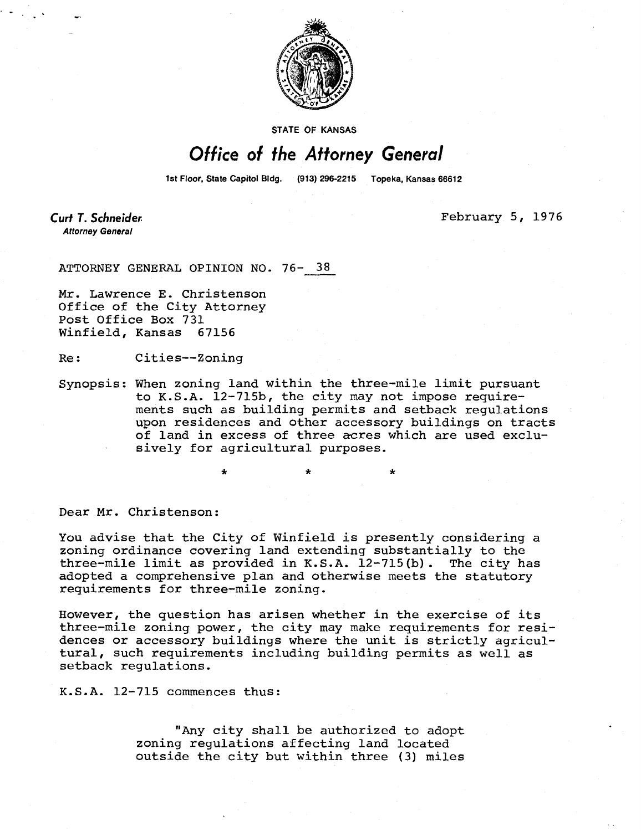

STATE OF KANSAS

## Office of the Attorney General

1st Floor, State Capitol Bldg. (913) 296-2215 Topeka, Kansas 66612

**Curt T. Schneider Attorney General** 

February 5, 1976

ATTORNEY GENERAL OPINION NO. 76- 38

\*

Mr. Lawrence E. Christenson Office of the City Attorney Post Office Box 731 Winfield, Kansas 67156

Re: Cities--Zoning

Synopsis: When zoning land within the three-mile limit pursuant to K.S.A. 12-715b, the city may not impose requirements such as building permits and setback regulations upon residences and other accessory buildings on tracts of land in excess of three acres which are used exclusively for agricultural purposes.

Dear Mr. Christenson:

You advise that the City of Winfield is presently considering a zoning ordinance covering land extending substantially to the three-mile limit as provided in K.S.A. 12-715(b). The city has adopted a comprehensive plan and otherwise meets the statutory requirements for three-mile zoning.

However, the question has arisen whether in the exercise of its three-mile zoning power, the city may make requirements for residences or accessory buildings where the unit is strictly agricultural, such requirements including building permits as well as setback regulations.

K.S.A. 12-715 commences thus:

"Any city shall be authorized to adopt zoning regulations affecting land located outside the city but within three (3) miles